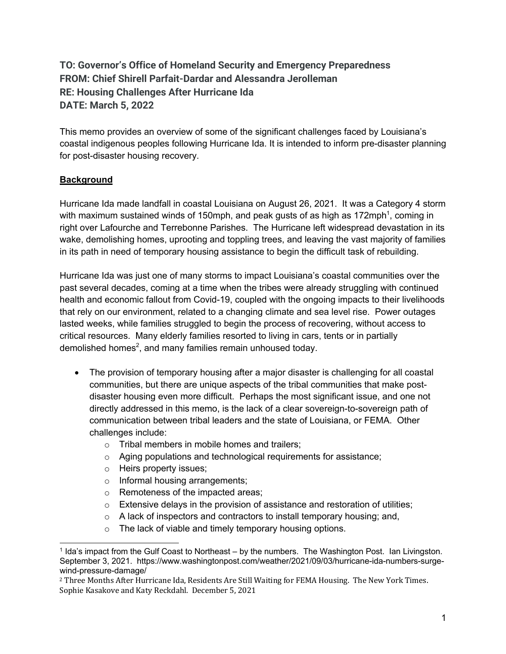# **TO: Governor's Office of Homeland Security and Emergency Preparedness FROM: Chief Shirell Parfait-Dardar and Alessandra Jerolleman RE: Housing Challenges After Hurricane Ida DATE: March 5, 2022**

This memo provides an overview of some of the significant challenges faced by Louisiana's coastal indigenous peoples following Hurricane Ida. It is intended to inform pre-disaster planning for post-disaster housing recovery.

# **Background**

Hurricane Ida made landfall in coastal Louisiana on August 26, 2021. It was a Category 4 storm with maximum sustained winds of 150mph, and peak gusts of as high as 172mph<sup>1</sup>, coming in right over Lafourche and Terrebonne Parishes. The Hurricane left widespread devastation in its wake, demolishing homes, uprooting and toppling trees, and leaving the vast majority of families in its path in need of temporary housing assistance to begin the difficult task of rebuilding.

Hurricane Ida was just one of many storms to impact Louisiana's coastal communities over the past several decades, coming at a time when the tribes were already struggling with continued health and economic fallout from Covid-19, coupled with the ongoing impacts to their livelihoods that rely on our environment, related to a changing climate and sea level rise. Power outages lasted weeks, while families struggled to begin the process of recovering, without access to critical resources. Many elderly families resorted to living in cars, tents or in partially demolished homes<sup>2</sup>, and many families remain unhoused today.

- The provision of temporary housing after a major disaster is challenging for all coastal communities, but there are unique aspects of the tribal communities that make postdisaster housing even more difficult. Perhaps the most significant issue, and one not directly addressed in this memo, is the lack of a clear sovereign-to-sovereign path of communication between tribal leaders and the state of Louisiana, or FEMA. Other challenges include:
	- o Tribal members in mobile homes and trailers;
	- o Aging populations and technological requirements for assistance;
	- o Heirs property issues;
	- o Informal housing arrangements;
	- o Remoteness of the impacted areas;
	- o Extensive delays in the provision of assistance and restoration of utilities;
	- $\circ$  A lack of inspectors and contractors to install temporary housing; and,
	- o The lack of viable and timely temporary housing options.

 $<sup>1</sup>$  Ida's impact from the Gulf Coast to Northeast – by the numbers. The Washington Post. Ian Livingston.</sup> September 3, 2021. https://www.washingtonpost.com/weather/2021/09/03/hurricane-ida-numbers-surgewind-pressure-damage/

<sup>&</sup>lt;sup>2</sup> Three Months After Hurricane Ida, Residents Are Still Waiting for FEMA Housing. The New York Times. Sophie Kasakove and Katy Reckdahl. December 5, 2021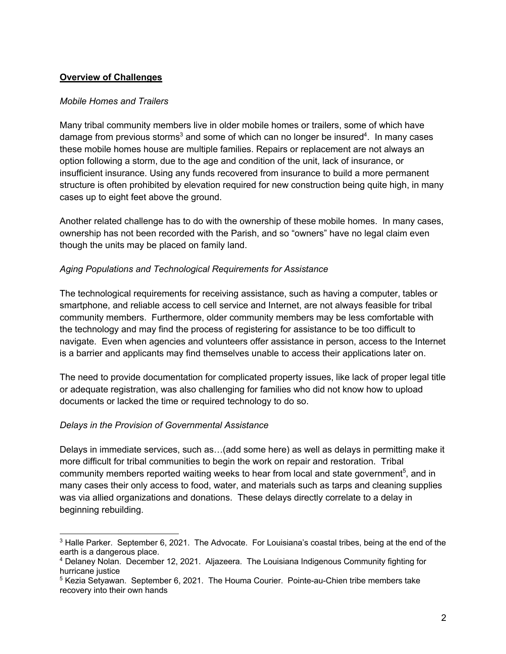### **Overview of Challenges**

#### *Mobile Homes and Trailers*

Many tribal community members live in older mobile homes or trailers, some of which have damage from previous storms<sup>3</sup> and some of which can no longer be insured<sup>4</sup>. In many cases these mobile homes house are multiple families. Repairs or replacement are not always an option following a storm, due to the age and condition of the unit, lack of insurance, or insufficient insurance. Using any funds recovered from insurance to build a more permanent structure is often prohibited by elevation required for new construction being quite high, in many cases up to eight feet above the ground.

Another related challenge has to do with the ownership of these mobile homes. In many cases, ownership has not been recorded with the Parish, and so "owners" have no legal claim even though the units may be placed on family land.

#### *Aging Populations and Technological Requirements for Assistance*

The technological requirements for receiving assistance, such as having a computer, tables or smartphone, and reliable access to cell service and Internet, are not always feasible for tribal community members. Furthermore, older community members may be less comfortable with the technology and may find the process of registering for assistance to be too difficult to navigate. Even when agencies and volunteers offer assistance in person, access to the Internet is a barrier and applicants may find themselves unable to access their applications later on.

The need to provide documentation for complicated property issues, like lack of proper legal title or adequate registration, was also challenging for families who did not know how to upload documents or lacked the time or required technology to do so.

#### *Delays in the Provision of Governmental Assistance*

Delays in immediate services, such as…(add some here) as well as delays in permitting make it more difficult for tribal communities to begin the work on repair and restoration. Tribal community members reported waiting weeks to hear from local and state government<sup>5</sup>, and in many cases their only access to food, water, and materials such as tarps and cleaning supplies was via allied organizations and donations. These delays directly correlate to a delay in beginning rebuilding.

<sup>&</sup>lt;sup>3</sup> Halle Parker. September 6, 2021. The Advocate. For Louisiana's coastal tribes, being at the end of the earth is a dangerous place.

<sup>4</sup> Delaney Nolan. December 12, 2021. Aljazeera. The Louisiana Indigenous Community fighting for hurricane justice

<sup>&</sup>lt;sup>5</sup> Kezia Setyawan. September 6, 2021. The Houma Courier. Pointe-au-Chien tribe members take recovery into their own hands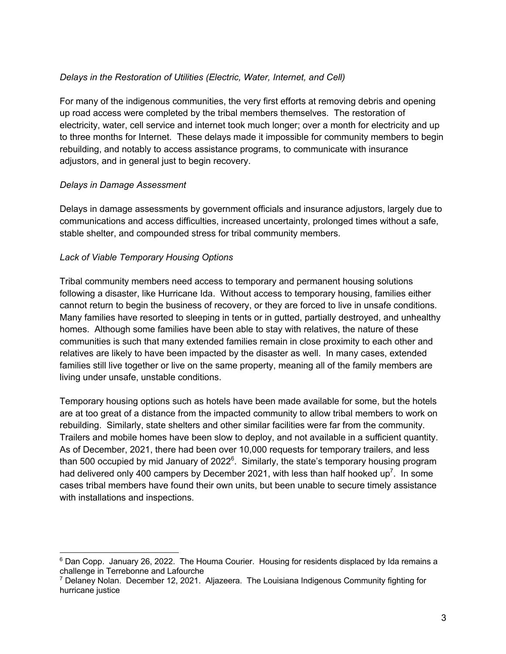### *Delays in the Restoration of Utilities (Electric, Water, Internet, and Cell)*

For many of the indigenous communities, the very first efforts at removing debris and opening up road access were completed by the tribal members themselves. The restoration of electricity, water, cell service and internet took much longer; over a month for electricity and up to three months for Internet. These delays made it impossible for community members to begin rebuilding, and notably to access assistance programs, to communicate with insurance adjustors, and in general just to begin recovery.

#### *Delays in Damage Assessment*

Delays in damage assessments by government officials and insurance adjustors, largely due to communications and access difficulties, increased uncertainty, prolonged times without a safe, stable shelter, and compounded stress for tribal community members.

#### *Lack of Viable Temporary Housing Options*

Tribal community members need access to temporary and permanent housing solutions following a disaster, like Hurricane Ida. Without access to temporary housing, families either cannot return to begin the business of recovery, or they are forced to live in unsafe conditions. Many families have resorted to sleeping in tents or in gutted, partially destroyed, and unhealthy homes. Although some families have been able to stay with relatives, the nature of these communities is such that many extended families remain in close proximity to each other and relatives are likely to have been impacted by the disaster as well. In many cases, extended families still live together or live on the same property, meaning all of the family members are living under unsafe, unstable conditions.

Temporary housing options such as hotels have been made available for some, but the hotels are at too great of a distance from the impacted community to allow tribal members to work on rebuilding. Similarly, state shelters and other similar facilities were far from the community. Trailers and mobile homes have been slow to deploy, and not available in a sufficient quantity. As of December, 2021, there had been over 10,000 requests for temporary trailers, and less than 500 occupied by mid January of 2022 $^{\circ}$ . Similarly, the state's temporary housing program had delivered only 400 campers by December 2021, with less than half hooked up<sup>7</sup>. In some cases tribal members have found their own units, but been unable to secure timely assistance with installations and inspections.

<sup>6</sup> Dan Copp. January 26, 2022. The Houma Courier. Housing for residents displaced by Ida remains a challenge in Terrebonne and Lafourche

<sup>7</sup> Delaney Nolan. December 12, 2021. Aljazeera. The Louisiana Indigenous Community fighting for hurricane justice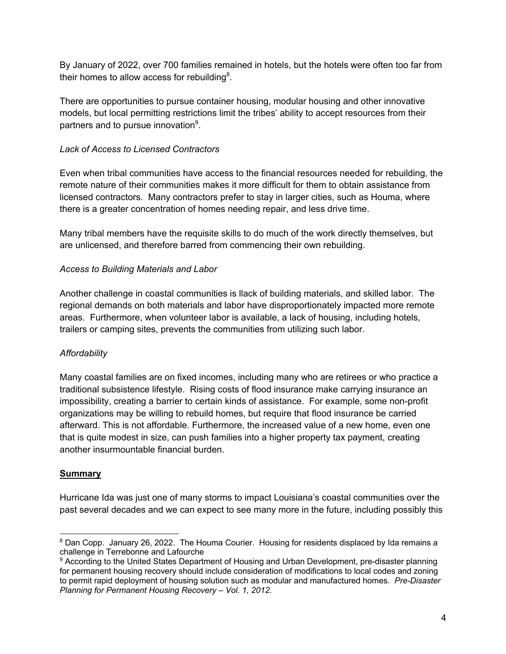By January of 2022, over 700 families remained in hotels, but the hotels were often too far from their homes to allow access for rebuilding<sup>8</sup>.

There are opportunities to pursue container housing, modular housing and other innovative models, but local permitting restrictions limit the tribes' ability to accept resources from their partners and to pursue innovation $9$ .

## *Lack of Access to Licensed Contractors*

Even when tribal communities have access to the financial resources needed for rebuilding, the remote nature of their communities makes it more difficult for them to obtain assistance from licensed contractors. Many contractors prefer to stay in larger cities, such as Houma, where there is a greater concentration of homes needing repair, and less drive time.

Many tribal members have the requisite skills to do much of the work directly themselves, but are unlicensed, and therefore barred from commencing their own rebuilding.

# *Access to Building Materials and Labor*

Another challenge in coastal communities is llack of building materials, and skilled labor. The regional demands on both materials and labor have disproportionately impacted more remote areas. Furthermore, when volunteer labor is available, a lack of housing, including hotels, trailers or camping sites, prevents the communities from utilizing such labor.

# *Affordability*

Many coastal families are on fixed incomes, including many who are retirees or who practice a traditional subsistence lifestyle. Rising costs of flood insurance make carrying insurance an impossibility, creating a barrier to certain kinds of assistance. For example, some non-profit organizations may be willing to rebuild homes, but require that flood insurance be carried afterward. This is not affordable. Furthermore, the increased value of a new home, even one that is quite modest in size, can push families into a higher property tax payment, creating another insurmountable financial burden.

### **Summary**

Hurricane Ida was just one of many storms to impact Louisiana's coastal communities over the past several decades and we can expect to see many more in the future, including possibly this

<sup>8</sup> Dan Copp. January 26, 2022. The Houma Courier. Housing for residents displaced by Ida remains a challenge in Terrebonne and Lafourche

<sup>9</sup> According to the United States Department of Housing and Urban Development, pre-disaster planning for permanent housing recovery should include consideration of modifications to local codes and zoning to permit rapid deployment of housing solution such as modular and manufactured homes. *Pre-Disaster Planning for Permanent Housing Recovery – Vol. 1, 2012.*